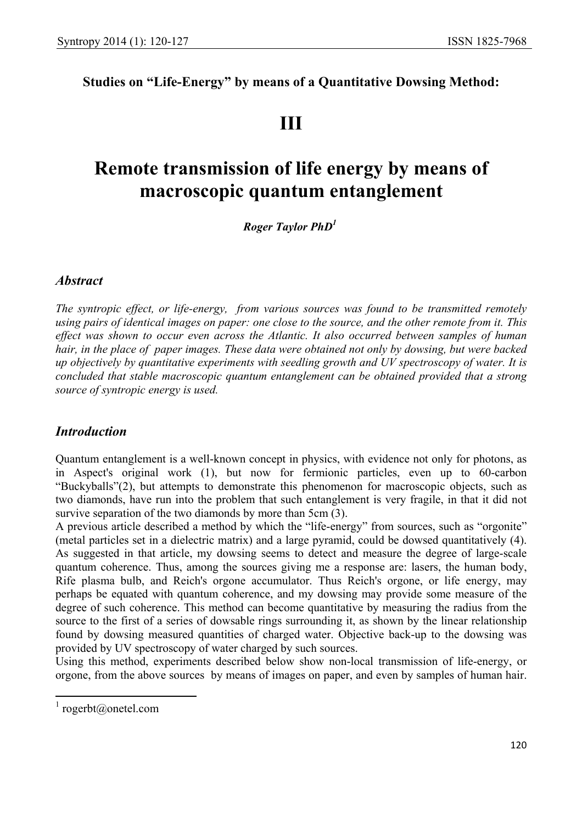# **Studies on "Life-Energy" by means of a Quantitative Dowsing Method:**

# **III**

# **Remote transmission of life energy by means of macroscopic quantum entanglement**

 *Roger Taylor PhD1*

## *Abstract*

*The syntropic effect, or life-energy, from various sources was found to be transmitted remotely using pairs of identical images on paper: one close to the source, and the other remote from it. This*  effect was shown to occur even across the Atlantic. It also occurred between samples of human *hair, in the place of paper images. These data were obtained not only by dowsing, but were backed up objectively by quantitative experiments with seedling growth and UV spectroscopy of water. It is concluded that stable macroscopic quantum entanglement can be obtained provided that a strong source of syntropic energy is used.*

## *Introduction*

Quantum entanglement is a well-known concept in physics, with evidence not only for photons, as in Aspect's original work (1), but now for fermionic particles, even up to 60-carbon "Buckyballs"(2), but attempts to demonstrate this phenomenon for macroscopic objects, such as two diamonds, have run into the problem that such entanglement is very fragile, in that it did not survive separation of the two diamonds by more than 5cm  $(3)$ .

A previous article described a method by which the "life-energy" from sources, such as "orgonite" (metal particles set in a dielectric matrix) and a large pyramid, could be dowsed quantitatively (4). As suggested in that article, my dowsing seems to detect and measure the degree of large-scale quantum coherence. Thus, among the sources giving me a response are: lasers, the human body, Rife plasma bulb, and Reich's orgone accumulator. Thus Reich's orgone, or life energy, may perhaps be equated with quantum coherence, and my dowsing may provide some measure of the degree of such coherence. This method can become quantitative by measuring the radius from the source to the first of a series of dowsable rings surrounding it, as shown by the linear relationship found by dowsing measured quantities of charged water. Objective back-up to the dowsing was provided by UV spectroscopy of water charged by such sources.

Using this method, experiments described below show non-local transmission of life-energy, or orgone, from the above sources by means of images on paper, and even by samples of human hair.

<sup>&</sup>lt;sup>1</sup> rogerbt@onetel.com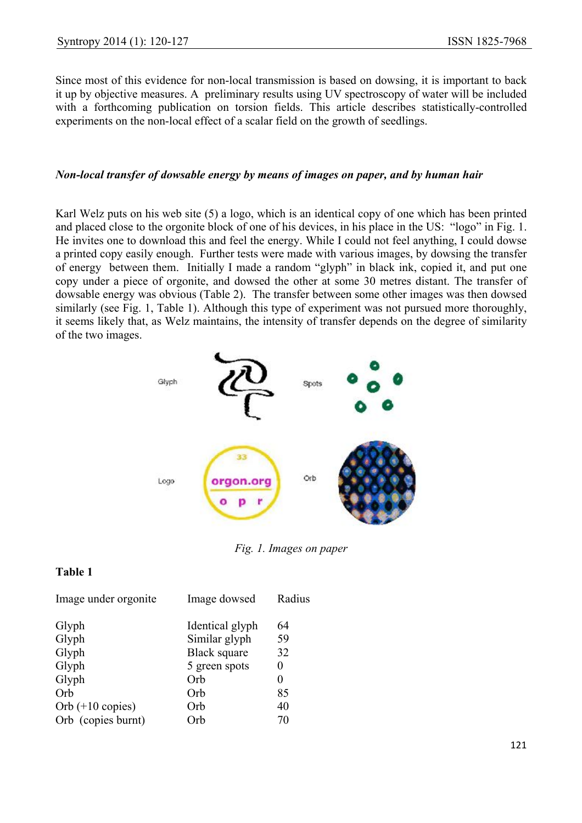Since most of this evidence for non-local transmission is based on dowsing, it is important to back it up by objective measures. A preliminary results using UV spectroscopy of water will be included with a forthcoming publication on torsion fields. This article describes statistically-controlled experiments on the non-local effect of a scalar field on the growth of seedlings.

#### *Non-local transfer of dowsable energy by means of images on paper, and by human hair*

Karl Welz puts on his web site (5) a logo, which is an identical copy of one which has been printed and placed close to the orgonite block of one of his devices, in his place in the US: "logo" in Fig. 1. He invites one to download this and feel the energy. While I could not feel anything, I could dowse a printed copy easily enough. Further tests were made with various images, by dowsing the transfer of energy between them. Initially I made a random "glyph" in black ink, copied it, and put one copy under a piece of orgonite, and dowsed the other at some 30 metres distant. The transfer of dowsable energy was obvious (Table 2). The transfer between some other images was then dowsed similarly (see Fig. 1, Table 1). Although this type of experiment was not pursued more thoroughly, it seems likely that, as Welz maintains, the intensity of transfer depends on the degree of similarity of the two images.



*Fig. 1. Images on paper* 

## **Table 1**

| Image under orgonite       | Image dowsed        | Radius |
|----------------------------|---------------------|--------|
| Glyph                      | Identical glyph     | 64     |
| Glyph                      | Similar glyph       | 59     |
| Glyph                      | <b>Black square</b> | 32     |
| Glyph                      | 5 green spots       | 0      |
| Glyph                      | Orb                 | 0      |
| Orb                        | Orb                 | 85     |
| Orb $(+10 \text{ copies})$ | Orb                 | 40     |
| Orb (copies burnt)         | )rb                 | 70     |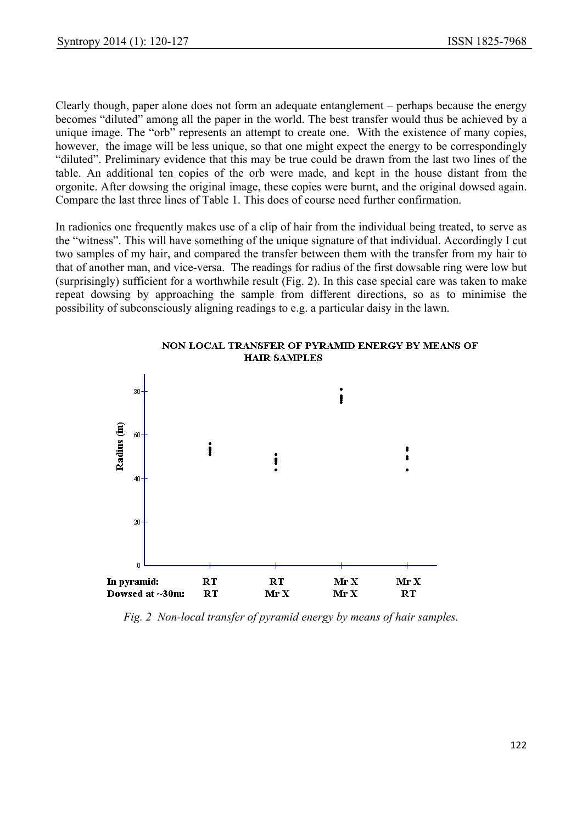Clearly though, paper alone does not form an adequate entanglement – perhaps because the energy becomes "diluted" among all the paper in the world. The best transfer would thus be achieved by a unique image. The "orb" represents an attempt to create one. With the existence of many copies, however, the image will be less unique, so that one might expect the energy to be correspondingly "diluted". Preliminary evidence that this may be true could be drawn from the last two lines of the table. An additional ten copies of the orb were made, and kept in the house distant from the orgonite. After dowsing the original image, these copies were burnt, and the original dowsed again. Compare the last three lines of Table 1. This does of course need further confirmation.

In radionics one frequently makes use of a clip of hair from the individual being treated, to serve as the "witness". This will have something of the unique signature of that individual. Accordingly I cut two samples of my hair, and compared the transfer between them with the transfer from my hair to that of another man, and vice-versa. The readings for radius of the first dowsable ring were low but (surprisingly) sufficient for a worthwhile result (Fig. 2). In this case special care was taken to make repeat dowsing by approaching the sample from different directions, so as to minimise the possibility of subconsciously aligning readings to e.g. a particular daisy in the lawn.



NON-LOCAL TRANSFER OF PYRAMID ENERGY BY MEANS OF **HAIR SAMPLES** 

*Fig. 2 Non-local transfer of pyramid energy by means of hair samples.*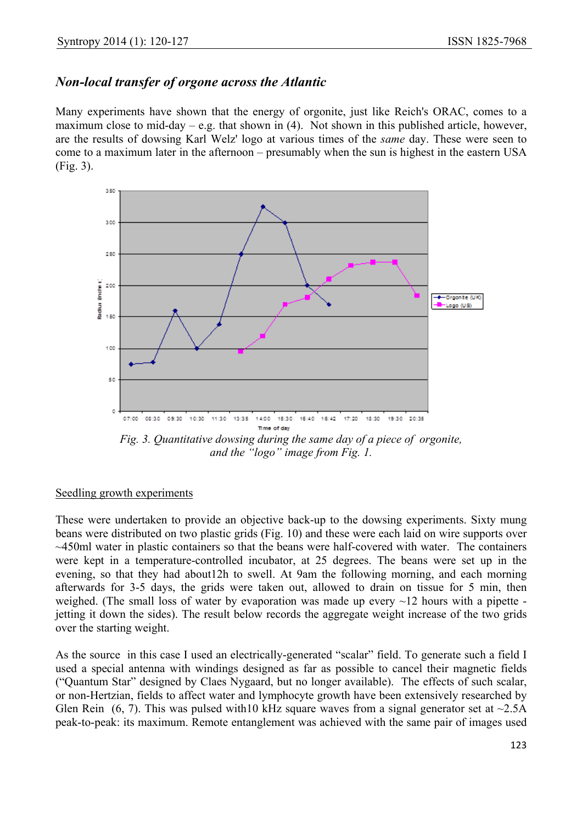## *Non-local transfer of orgone across the Atlantic*

Many experiments have shown that the energy of orgonite, just like Reich's ORAC, comes to a maximum close to mid-day – e.g. that shown in  $(4)$ . Not shown in this published article, however, are the results of dowsing Karl Welz' logo at various times of the *same* day. These were seen to come to a maximum later in the afternoon – presumably when the sun is highest in the eastern USA (Fig. 3).



*Fig. 3. Quantitative dowsing during the same day of a piece of orgonite, and the "logo" image from Fig. 1.* 

### Seedling growth experiments

These were undertaken to provide an objective back-up to the dowsing experiments. Sixty mung beans were distributed on two plastic grids (Fig. 10) and these were each laid on wire supports over ~450ml water in plastic containers so that the beans were half-covered with water. The containers were kept in a temperature-controlled incubator, at 25 degrees. The beans were set up in the evening, so that they had about12h to swell. At 9am the following morning, and each morning afterwards for 3-5 days, the grids were taken out, allowed to drain on tissue for 5 min, then weighed. (The small loss of water by evaporation was made up every  $\sim$ 12 hours with a pipette jetting it down the sides). The result below records the aggregate weight increase of the two grids over the starting weight.

As the source in this case I used an electrically-generated "scalar" field. To generate such a field I used a special antenna with windings designed as far as possible to cancel their magnetic fields ("Quantum Star" designed by Claes Nygaard, but no longer available). The effects of such scalar, or non-Hertzian, fields to affect water and lymphocyte growth have been extensively researched by Glen Rein  $(6, 7)$ . This was pulsed with 10 kHz square waves from a signal generator set at  $\sim$ 2.5A peak-to-peak: its maximum. Remote entanglement was achieved with the same pair of images used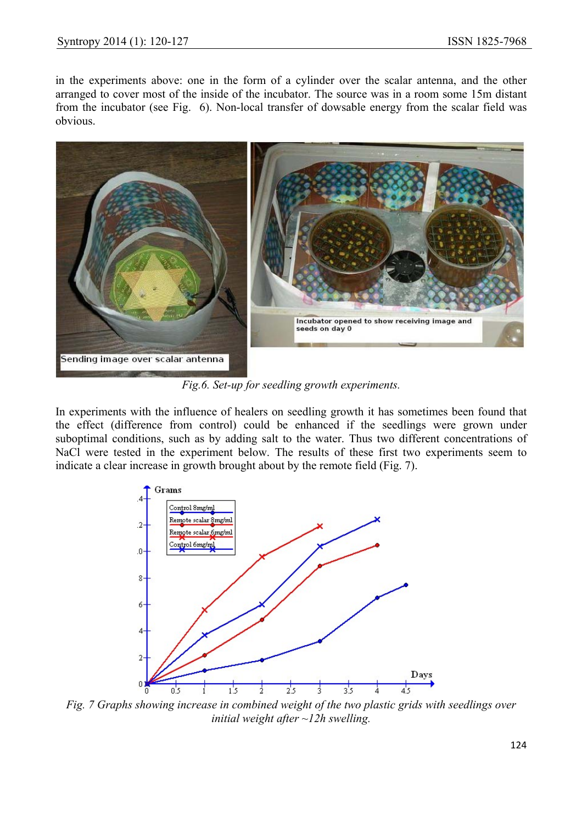in the experiments above: one in the form of a cylinder over the scalar antenna, and the other arranged to cover most of the inside of the incubator. The source was in a room some 15m distant from the incubator (see Fig. 6). Non-local transfer of dowsable energy from the scalar field was obvious.



*Fig.6. Set-up for seedling growth experiments.*

In experiments with the influence of healers on seedling growth it has sometimes been found that the effect (difference from control) could be enhanced if the seedlings were grown under suboptimal conditions, such as by adding salt to the water. Thus two different concentrations of NaCl were tested in the experiment below. The results of these first two experiments seem to indicate a clear increase in growth brought about by the remote field (Fig. 7).



*Fig. 7 Graphs showing increase in combined weight of the two plastic grids with seedlings over initial weight after ~12h swelling.*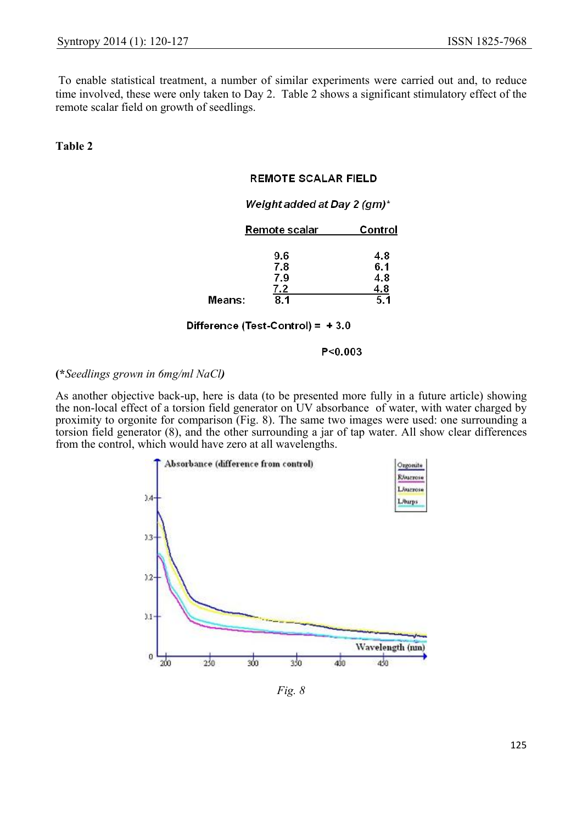To enable statistical treatment, a number of similar experiments were carried out and, to reduce time involved, these were only taken to Day 2. Table 2 shows a significant stimulatory effect of the remote scalar field on growth of seedlings.

**Table 2**

#### **REMOTE SCALAR FIELD**

#### Weight added at Day 2 (gm)\*

|        | Remote scalar | Control |
|--------|---------------|---------|
|        |               |         |
|        | 9.6           | 48      |
|        | 7.8           | 6.1     |
|        | 7.9           | 4.8     |
|        | 7.2           | 4.8     |
| Means: | 8.1           | 5.1     |

#### Difference (Test-Control) =  $+3.0$

 $P < 0.003$ 

#### **(\****Seedlings grown in 6mg/ml NaCl)*

As another objective back-up, here is data (to be presented more fully in a future article) showing the non-local effect of a torsion field generator on UV absorbance of water, with water charged by proximity to orgonite for comparison (Fig. 8). The same two images were used: one surrounding a torsion field generator (8), and the other surrounding a jar of tap water. All show clear differences from the control, which would have zero at all wavelengths.



*Fig. 8*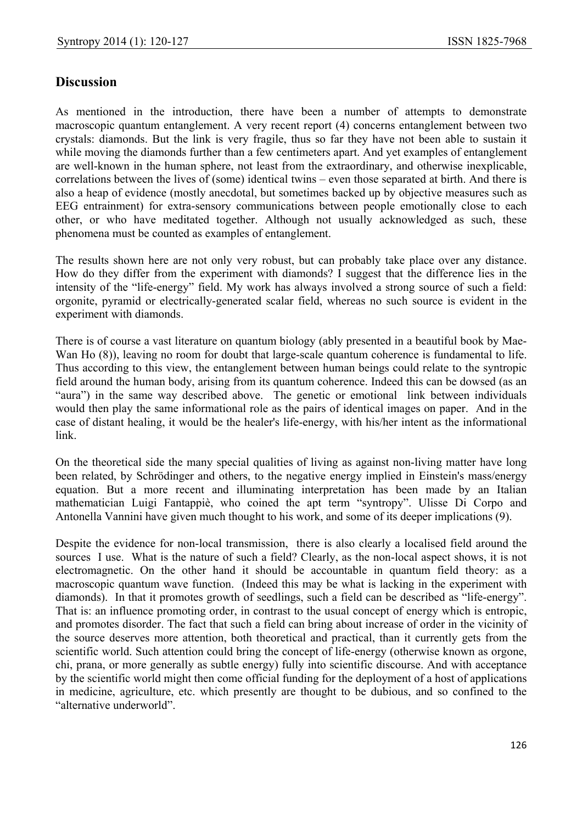## **Discussion**

As mentioned in the introduction, there have been a number of attempts to demonstrate macroscopic quantum entanglement. A very recent report (4) concerns entanglement between two crystals: diamonds. But the link is very fragile, thus so far they have not been able to sustain it while moving the diamonds further than a few centimeters apart. And yet examples of entanglement are well-known in the human sphere, not least from the extraordinary, and otherwise inexplicable, correlations between the lives of (some) identical twins – even those separated at birth. And there is also a heap of evidence (mostly anecdotal, but sometimes backed up by objective measures such as EEG entrainment) for extra-sensory communications between people emotionally close to each other, or who have meditated together. Although not usually acknowledged as such, these phenomena must be counted as examples of entanglement.

The results shown here are not only very robust, but can probably take place over any distance. How do they differ from the experiment with diamonds? I suggest that the difference lies in the intensity of the "life-energy" field. My work has always involved a strong source of such a field: orgonite, pyramid or electrically-generated scalar field, whereas no such source is evident in the experiment with diamonds.

There is of course a vast literature on quantum biology (ably presented in a beautiful book by Mae-Wan Ho  $(8)$ ), leaving no room for doubt that large-scale quantum coherence is fundamental to life. Thus according to this view, the entanglement between human beings could relate to the syntropic field around the human body, arising from its quantum coherence. Indeed this can be dowsed (as an "aura") in the same way described above. The genetic or emotional link between individuals would then play the same informational role as the pairs of identical images on paper. And in the case of distant healing, it would be the healer's life-energy, with his/her intent as the informational link.

On the theoretical side the many special qualities of living as against non-living matter have long been related, by Schrödinger and others, to the negative energy implied in Einstein's mass/energy equation. But a more recent and illuminating interpretation has been made by an Italian mathematician Luigi Fantappiè, who coined the apt term "syntropy". Ulisse Di Corpo and Antonella Vannini have given much thought to his work, and some of its deeper implications (9).

Despite the evidence for non-local transmission, there is also clearly a localised field around the sources I use. What is the nature of such a field? Clearly, as the non-local aspect shows, it is not electromagnetic. On the other hand it should be accountable in quantum field theory: as a macroscopic quantum wave function. (Indeed this may be what is lacking in the experiment with diamonds). In that it promotes growth of seedlings, such a field can be described as "life-energy". That is: an influence promoting order, in contrast to the usual concept of energy which is entropic, and promotes disorder. The fact that such a field can bring about increase of order in the vicinity of the source deserves more attention, both theoretical and practical, than it currently gets from the scientific world. Such attention could bring the concept of life-energy (otherwise known as orgone, chi, prana, or more generally as subtle energy) fully into scientific discourse. And with acceptance by the scientific world might then come official funding for the deployment of a host of applications in medicine, agriculture, etc. which presently are thought to be dubious, and so confined to the "alternative underworld".